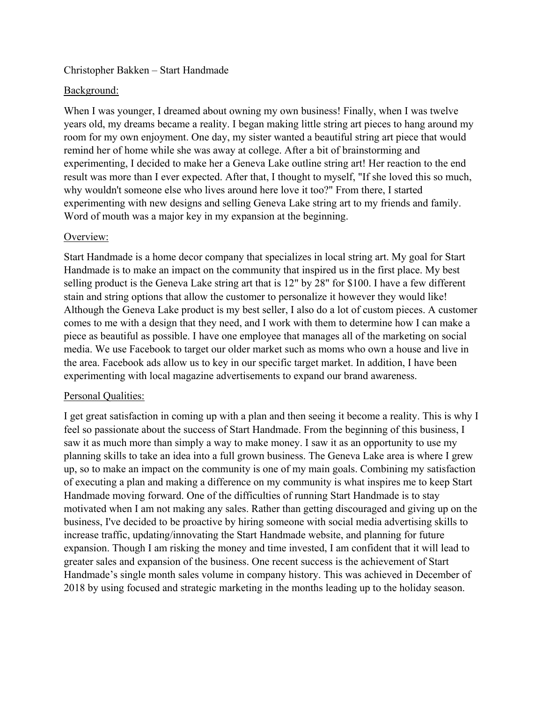## Christopher Bakken – Start Handmade

### Background:

When I was younger, I dreamed about owning my own business! Finally, when I was twelve years old, my dreams became a reality. I began making little string art pieces to hang around my room for my own enjoyment. One day, my sister wanted a beautiful string art piece that would remind her of home while she was away at college. After a bit of brainstorming and experimenting, I decided to make her a Geneva Lake outline string art! Her reaction to the end result was more than I ever expected. After that, I thought to myself, "If she loved this so much, why wouldn't someone else who lives around here love it too?" From there, I started experimenting with new designs and selling Geneva Lake string art to my friends and family. Word of mouth was a major key in my expansion at the beginning.

#### Overview:

Start Handmade is a home decor company that specializes in local string art. My goal for Start Handmade is to make an impact on the community that inspired us in the first place. My best selling product is the Geneva Lake string art that is 12" by 28" for \$100. I have a few different stain and string options that allow the customer to personalize it however they would like! Although the Geneva Lake product is my best seller, I also do a lot of custom pieces. A customer comes to me with a design that they need, and I work with them to determine how I can make a piece as beautiful as possible. I have one employee that manages all of the marketing on social media. We use Facebook to target our older market such as moms who own a house and live in the area. Facebook ads allow us to key in our specific target market. In addition, I have been experimenting with local magazine advertisements to expand our brand awareness.

## Personal Qualities:

I get great satisfaction in coming up with a plan and then seeing it become a reality. This is why I feel so passionate about the success of Start Handmade. From the beginning of this business, I saw it as much more than simply a way to make money. I saw it as an opportunity to use my planning skills to take an idea into a full grown business. The Geneva Lake area is where I grew up, so to make an impact on the community is one of my main goals. Combining my satisfaction of executing a plan and making a difference on my community is what inspires me to keep Start Handmade moving forward. One of the difficulties of running Start Handmade is to stay motivated when I am not making any sales. Rather than getting discouraged and giving up on the business, I've decided to be proactive by hiring someone with social media advertising skills to increase traffic, updating/innovating the Start Handmade website, and planning for future expansion. Though I am risking the money and time invested, I am confident that it will lead to greater sales and expansion of the business. One recent success is the achievement of Start Handmade's single month sales volume in company history. This was achieved in December of 2018 by using focused and strategic marketing in the months leading up to the holiday season.